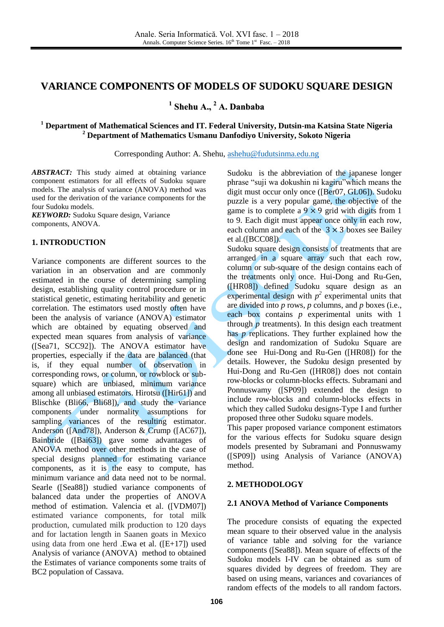# **VARIANCE COMPONENTS OF MODELS OF SUDOKU SQUARE DESIGN**

**1 Shehu A., <sup>2</sup> A. Danbaba**

#### **<sup>1</sup> Department of Mathematical Sciences and IT. Federal University, Dutsin-ma Katsina State Nigeria <sup>2</sup> Department of Mathematics Usmanu Danfodiyo University, Sokoto Nigeria**

Corresponding Author: A. Shehu, [ashehu@fudutsinma.edu.ng](mailto:ashehu@fudutsinma.edu.ng)

*ABSTRACT:* This study aimed at obtaining variance component estimators for all effects of Sudoku square models. The analysis of variance (ANOVA) method was used for the derivation of the variance components for the four Sudoku models.

*KEYWORD:* Sudoku Square design, Variance components, ANOVA.

## **1. INTRODUCTION**

Variance components are different sources to the variation in an observation and are commonly estimated in the course of determining sampling design, establishing quality control procedure or in statistical genetic, estimating heritability and genetic correlation. The estimators used mostly often have been the analysis of variance (ANOVA) estimator which are obtained by equating observed and expected mean squares from analysis of variance ([Sea71, SCC92]). The ANOVA estimator have properties, especially if the data are balanced (that is, if they equal number of observation in corresponding rows, or column, or rowblock or subsquare) which are unbiased, minimum variance among all unbiased estimators. Hirotsu ([Hir61]) and Blischke (Bli66, Bli68]), and study the variance components under normality assumptions for sampling variances of the resulting estimator. Anderson ([And78]), Anderson & Crump ([AC67]), Bainbride ([Bai63]) gave some advantages of ANOVA method over other methods in the case of special designs planned for estimating variance components, as it is the easy to compute, has minimum variance and data need not to be normal. Searle ([Sea88]) studied variance components of balanced data under the properties of ANOVA method of estimation. Valencia et al. ([VDM07]) estimated variance components, for total milk production, cumulated milk production to 120 days and for lactation length in Saanen goats in Mexico using data from one herd .Ewa et al. ([E+17]) used Analysis of variance (ANOVA) method to obtained the Estimates of variance components some traits of BC2 population of Cassava.

Sudoku is the abbreviation of the japanese longer phrase "suji wa dokushin ni kagiru"which means the digit must occur only once ([Ber07, GL06]). Sudoku puzzle is a very popular game, the objective of the game is to complete a  $9 \times 9$  grid with digits from 1 to 9. Each digit must appear once only in each row, each column and each of the  $3 \times 3$  boxes see Bailey et al.([BCC08]).

Sudoku square design consists of treatments that are arranged in a square array such that each row, column or sub-square of the design contains each of the treatments only once. Hui-Dong and Ru-Gen, ([HR08]) defined Sudoku square design as an experimental design with  $p^2$  experimental units that are divided into *p* rows, *p* columns, and *p* boxes (i.e., each box contains *p* experimental units with 1 through  $\bar{p}$  treatments). In this design each treatment has *p* replications. They further explained how the design and randomization of Sudoku Square are done see Hui-Dong and Ru-Gen ([HR08]) for the details. However, the Sudoku design presented by Hui-Dong and Ru-Gen ([HR08]) does not contain row-blocks or column-blocks effects. Subramani and Ponnuswamy ([SP09]) extended the design to include row-blocks and column-blocks effects in which they called Sudoku designs-Type I and further proposed three other Sudoku square models.

This paper proposed variance component estimators for the various effects for Sudoku square design models presented by Subramani and Ponnuswamy ([SP09]) using Analysis of Variance (ANOVA) method.

#### **2. METHODOLOGY**

#### **2.1 ANOVA Method of Variance Components**

The procedure consists of equating the expected mean square to their observed value in the analysis of variance table and solving for the variance components ([Sea88]). Mean square of effects of the Sudoku models I-IV can be obtained as sum of squares divided by degrees of freedom. They are based on using means, variances and covariances of random effects of the models to all random factors.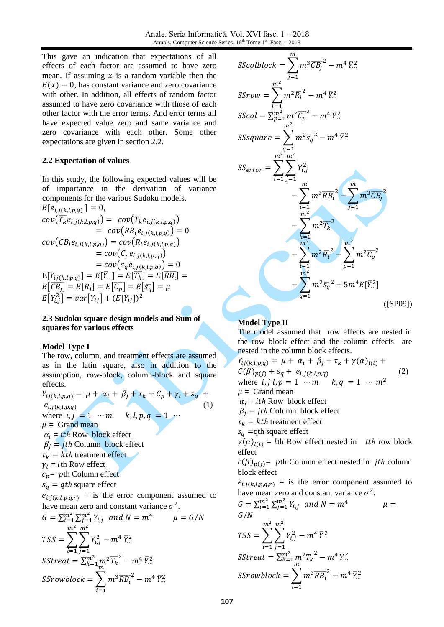This gave an indication that expectations of all effects of each factor are assumed to have zero mean. If assuming  $x$  is a random variable then the  $E(x) = 0$ , has constant variance and zero covariance with other. In addition, all effects of random factor assumed to have zero covariance with those of each other factor with the error terms. And error terms all have expected value zero and same variance and zero covariance with each other. Some other expectations are given in section 2.2.

#### **2.2 Expectation of values**

In this study, the following expected values will be of importance in the derivation of variance components for the various Sudoku models.

$$
E[e_{i,j(k,l,p,q)}] = 0,
$$
  
\n
$$
cov(\overline{T_k}e_{i,j(k,l,p,q)}) = cov(T_k e_{i,j(k,l,p,q)})
$$
  
\n
$$
= cov(RB_i e_{i,j(k,l,p,q)}) = 0
$$
  
\n
$$
cov(CB_j e_{i,j(k,l,p,q)}) = cov(R_l e_{i,j(k,l,p,q)})
$$
  
\n
$$
= cov(C_p e_{i,j(k,l,p,q)})
$$
  
\n
$$
= cov(s_q e_{i,j(k,l,p,q)}) = 0
$$
  
\n
$$
E[Y_{i,j(k,l,p,q})] = E[\overline{Y_{i,j}}] = E[\overline{Y_{i,j}}] = E[\overline{G_p}] = E[\overline{S_q}] = \mu
$$
  
\n
$$
E[Y_{i,j}^2] = var[Y_{ij}] + (E[Y_{ij}])^2
$$

#### **2.3 Sudoku square design models and Sum of squares for various effects**

#### **Model Type I**

The row, column, and treatment effects are assumed as in the latin square, also in addition to the assumption, row-block, column-block and square effects.

$$
Y_{ij(k,l,p,q)} = \mu + \alpha_i + \beta_j + \tau_k + C_p + \gamma_l + s_q + e_{i,j(k,l,p,q)}
$$
  
\nwhere *i*, *j* = 1 ··· *m k*, *l*, *p*, *q* = 1 ··· 
$$
\mu = \text{Grand mean}
$$

$$
\alpha_i = i\text{th} \text{ Row block effect}
$$

$$
\beta_j = j\text{th} \text{ Column block effect}
$$

$$
\tau_k = k\text{th treatment effect}
$$

$$
\gamma_l = l\text{th} \text{ Row effect}
$$

$$
c_p = p\text{th Column effect}
$$

$$
s_q = q\text{th square effect}
$$

$$
e_{i,j(k,l,p,q,r)} = \text{is the error component assumed to have mean zero and constant variance } \sigma^2.
$$

$$
G = \sum_{i=1}^{m^2} \sum_{j=1}^{m^2} Y_{i,j} \text{ and } N = m^4 \qquad \mu = G/N
$$
  
\n
$$
TSS = \sum_{i=1}^{m^2} \sum_{j=1}^{m^2} Y_{i,j}^2 - m^4 \bar{Y}_{\cdots}^2
$$
  
\n
$$
SStreat = \sum_{k=1}^{m^2} \sum_{m=1}^{m^2} \sum_{j=1}^{m^2} \sum_{j=1}^{m^2} \sum_{j=1}^{m^2} \sum_{j=1}^{m^2} \sum_{j=1}^{m^2} \sum_{j=1}^{m^2} \sum_{j=1}^{m^2} \sum_{j=1}^{m^2} \sum_{j=1}^{m^2} \sum_{j=1}^{m^2} \sum_{j=1}^{m^2} \sum_{j=1}^{m^2} \sum_{j=1}^{m^2} \sum_{j=1}^{m^2} \sum_{j=1}^{m^2} \sum_{j=1}^{m^2} \sum_{j=1}^{m^2} \sum_{j=1}^{m^2} \sum_{j=1}^{m^2} \sum_{j=1}^{m^2} \sum_{j=1}^{m^2} \sum_{j=1}^{m^2} \sum_{j=1}^{m^2} \sum_{j=1}^{m^2} \sum_{j=1}^{m^2} \sum_{j=1}^{m^2} \sum_{j=1}^{m^2} \sum_{j=1}^{m^2} \sum_{j=1}^{m^2} \sum_{j=1}^{m^2} \sum_{j=1}^{m^2} \sum_{j=1}^{m^2} \sum_{j=1}^{m^2} \sum_{j=1}^{m^2} \sum_{j=1}^{m^2} \sum_{j=1}^{m^2} \sum_{j=1}^{m^2} \sum_{j=1}^{m^2} \sum_{j=1}^{m^2} \sum_{j=1}^{m^2} \sum_{j=1}^{m^2} \sum_{j=1}^{m^2} \sum_{j=1}^{m^2} \sum_{j=1}^{m^2} \sum_{j=1}^{m^2} \sum_{j=1}^{m^2} \sum_{j=1}^{m^2} \sum_{j=1}^{m^2} \sum_{j=1}^{m^2} \sum_{j=1}^{m^2} \sum_{j=1}^{m
$$

$$
SScolblock = \sum_{j=1}^{m} m^{3} \overline{CB_{j}}^{2} - m^{4} \overline{Y}_{..}^{2}
$$
  
\n
$$
SSrow = \sum_{l=1}^{m^{2}} m^{2} \overline{R_{l}}^{2} - m^{4} \overline{Y}_{..}^{2}
$$
  
\n
$$
SScol = \sum_{p=1}^{m^{2}} m^{2} \overline{C_{p}}^{2} - m^{4} \overline{Y}_{..}^{2}
$$
  
\n
$$
SSsquare = \sum_{q=1}^{m^{2}} m^{2} \overline{s_{q}}^{2} - m^{4} \overline{Y}_{..}^{2}
$$
  
\n
$$
SS_{error} = \sum_{i=1}^{m^{2}} \sum_{j=1}^{m^{2}} Y_{i,j}^{2}
$$
  
\n
$$
- \sum_{i=1}^{m} m^{3} \overline{RB_{i}}^{2} - \sum_{j=1}^{m} m^{3} \overline{CB_{j}}^{2}
$$
  
\n
$$
- \sum_{k=1}^{m^{2}} m^{2} \overline{T_{k}}^{2}
$$
  
\n
$$
- \sum_{l=1}^{m^{2}} m^{2} \overline{R_{l}}^{2} - \sum_{p=1}^{m^{2}} m^{2} \overline{C_{p}}^{2}
$$
  
\n
$$
- \sum_{l=1}^{m^{2}} m^{2} \overline{R_{l}}^{2} - \sum_{p=1}^{m^{2}} m^{2} \overline{C_{p}}^{2}
$$
  
\n
$$
- \sum_{q=1}^{m^{2}} m^{2} \overline{s_{q}}^{2} + 5m^{4} E[\overline{Y}_{..}^{2}]
$$
  
\n(SPO91)

## **Model Type II**

The model assumed that row effects are nested in the row block effect and the column effects are nested in the column block effects.

$$
Y_{ij(k,l,p,q)} = \mu + \alpha_i + \beta_j + \tau_k + \gamma(\alpha)_{l(i)} + C(\beta)_{p(j)} + s_q + e_{i,j(k,l,p,q)}
$$
(2)  
where *i*, *j l*, *p* = 1 ··· *m k*, *q* = 1 ··· *m*<sup>2</sup>  

$$
\mu = \text{Grand mean}
$$

$$
\alpha_i = i\text{th} \text{ Row block effect}
$$

$$
\beta_j = j\text{th} \text{ Column block effect}
$$

$$
\tau_k = k\text{th treatment effect}
$$

$$
s_q = \text{qth square effect}
$$

$$
\gamma(\alpha)_{l(i)} = l\text{th} \text{ Row effect nested in } i\text{th row block}
$$
effect  
effect  

$$
c(\beta)_{p(j)} = p\text{th} \text{Column effect nested in } j\text{th column block effect}
$$

$$
e_{i,j(k,l,p,q,r)} = \text{is the error component assumed to have mean zero and constant variance } \sigma^2.
$$

$$
G = \sum_{i=1}^{m^2} \sum_{j=1}^{m^2} Y_{i,j} \text{ and } N = m^4 \qquad \mu =
$$
  
\n
$$
G/N
$$
  
\n
$$
TSS = \sum_{i=1}^{m^2} \sum_{j=1}^{m^2} Y_{i,j}^2 - m^4 \bar{Y}_{...}^2
$$
  
\n
$$
SStream = \sum_{k=1}^{m^2} m^2 \bar{T}_k^{-2} - m^4 \bar{Y}_{...}^2
$$
  
\n
$$
SSrowblock = \sum_{i=1}^{m^3} m^3 \bar{R} \bar{B}_i^{-2} - m^4 \bar{Y}_{...}^2
$$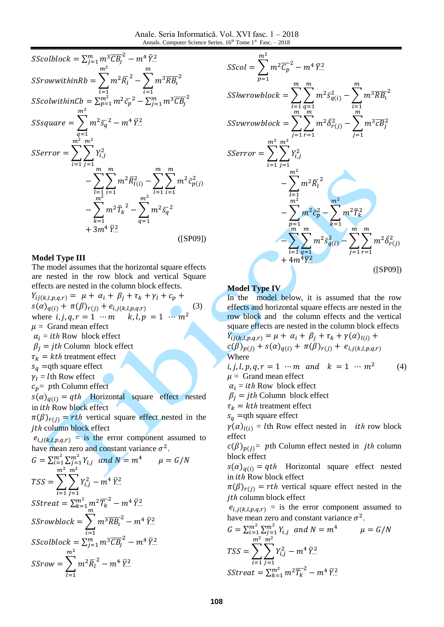

#### **Model Type III**

The model assumes that the horizontal square effects are nested in the row block and vertical Square effects are nested in the column block effects.

$$
Y_{ij(k,l,p,q,r)} = \mu + \alpha_i + \beta_j + \tau_k + \gamma_l + c_p + s(\alpha)_{q(i)} + \pi(\beta)_{r(j)} + e_{i,j(k,l,p,q,r)}
$$
(3)  
where *i*, *j*, *q*, *r* = 1 ··· *m k*, *l*, *p* = 1 ··· *m*<sup>2</sup>  

$$
\mu = \text{Grand mean effect}
$$

$$
\alpha_i = i\text{th} \text{ Row block effect}
$$

$$
\beta_j = j\text{th} \text{ Column block effect}
$$

$$
\tau_k = k\text{th treatment effect}
$$

$$
s_q = \text{qth square effect}
$$

$$
r_l = l\text{th} \text{ Row effect}
$$

$$
c_p = p\text{th Column effect}
$$

$$
s(\alpha)_{q(i)} = q\text{th} \text{ Horizontal square effect nested}
$$
in *ith* Row block effect  

$$
\pi(\beta)_{r(j)} = r\text{th vertical square effect nested in the}
$$
*jth* column block effect  

$$
e_{i,j(k,l,p,q,r)} = \text{is the error component assumed to}
$$
have mean zero and constant variance  $\sigma^2$ .
$$
G = \sum_{i=1}^{m^2} \sum_{j=1}^{m^2} Y_{i,j} \text{ and } N = m^4 \qquad \mu = G/N
$$

$$
\sum_{j=1}^{m^2} \sum_{j=1}^{m^2} Y_{i,j} = \sum_{j=1}^{m^2} \sum_{j=1}^{m^2} Y_{i,j} = \sum_{j=1}^{m^2} \sum_{j=1}^{m^2} Y_{i,j} = \sum_{j=1}^{m^2} \sum_{j=1}^{m^2} Y_{i,j} = \sum_{j=1}^{m^2} Y_{i,j} = \sum_{j=1}^{m^2} Y_{i,j} = \sum_{j=1}^{m^2} Y_{i,j} = \sum_{j=1}^{m^2} Y_{i,j} = \sum_{j=1}^{m^2} Y_{i,j} = \sum_{j=1}^{m^2} Y_{i,j} = \sum_{j=1}^{m^2} Y_{i,j} = \sum_{j=1}^{m^2} Y_{i,j} = \sum_{j=1}^{m^2} Y_{i,j} = \sum_{j=1}^{m
$$

$$
TSS = \sum_{i=1}^{m^2} \sum_{j=1}^{m^2} Y_{i,j}^2 - m^4 \bar{Y}_{..}^2
$$
  
\n
$$
SStreat = \sum_{k=1}^{m^2} m^2 \overline{T_k}^2 - m^4 \bar{Y}_{..}^2
$$
  
\n
$$
SStowblock = \sum_{i=1}^{m^3} m^3 \overline{RB_i}^2 - m^4 \bar{Y}_{..}^2
$$
  
\n
$$
SScolblock = \sum_{i=1}^{m^2} m^3 \overline{CB_j}^2 - m^4 \bar{Y}_{..}^2
$$
  
\n
$$
SSrow = \sum_{l=1}^{m^2} m^2 \overline{R_l}^2 - m^4 \bar{Y}_{..}^2
$$



## **Model Type IV**

In the model below, it is assumed that the row effects and horizontal square effects are nested in the row block and the column effects and the vertical square effects are nested in the column block effects  $Y_{ij(k,l,p,q,r)} = \mu + \alpha_i + \beta_j + \tau_k + \gamma(\alpha)_{l(i)} +$  $c(\beta)_{p(j)} + s(\alpha)_{q(i)} + \pi(\beta)_{r(j)} + e_{i,j(k,l,p,q,r)}$ **Where** *i, j, l, p, q, r* = 1  $\cdots$ *m* and  $k = 1$   $\cdots$   $m^2$ (4)  $\mu =$  Grand mean effect  $\alpha_i =$  ith Row block effect  $\beta_i = jth$  Column block effect  $\tau_k = kth$  treatment effect  $s_q$  =qth square effect  $\gamma(\alpha)_{l(i)} = l$ th Row effect nested in *ith* row block effect  $c(\beta)_{p(j)}$  pth Column effect nested in *jth* column block effect  $s(\alpha)_{q(i)} = qth$  Horizontal square effect nested in  $ith$  Row block effect  $\pi(\beta)_{r(i)} = rth$  vertical square effect nested in the jth column block effect  $e_{i,j(k,l,p,q,r)}$  = is the error component assumed to have mean zero and constant variance  $\sigma^2$ .

$$
G = \sum_{i=1}^{m^2} \sum_{j=1}^{m^2} Y_{i,j} \text{ and } N = m^4 \qquad \mu = G/N
$$
  
\n
$$
TSS = \sum_{i=1}^{m^2} \sum_{j=1}^{m^2} Y_{i,j}^2 - m^4 \bar{Y}_{\cdots}^2
$$
  
\n
$$
SStream = \sum_{k=1}^{m^2} m^2 \overline{T_k}^2 - m^4 \bar{Y}_{\cdots}^2
$$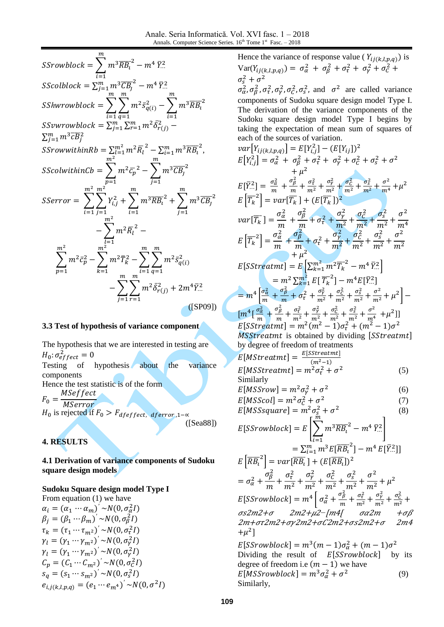| $SSrowblock = \sum m^3 \overline{RB_t}^2 - m^4 \, \bar{Y}^2_{}$                                                                                                                        |
|----------------------------------------------------------------------------------------------------------------------------------------------------------------------------------------|
| SScolblock = $\sum_{j=1}^{m} m^3 \overline{C} \overline{B}_j^2 - m^4 \overline{Y}^2$ .                                                                                                 |
| <i>SShwrowblock</i> = $\sum_{i=1}^{n} \sum_{a=1}^{m} m^2 \bar{s}_{q(i)}^2 - \sum_{i=1}^{m} m^3 \overline{RB_i}^2$                                                                      |
| SSvwrowblock = $\sum_{j=1}^m\sum_{r=1}^m m^2\bar{\delta}_{r(j)}^2$ –                                                                                                                   |
| $\sum_{i=1}^m m^3 \overline{c} \overline{B}_i^2$                                                                                                                                       |
| <i>SSrowwithinRb</i> = $\sum_{i=1}^{m^2} m^2 \overline{R}_i^2 - \sum_{i=1}^{m} m^3 \overline{R} \overline{B}_i^2$ ,                                                                    |
| SScolwithinCb = $\sum m^2 \bar{c_p}^2 - \sum m^3 \overline{C} \overline{B_j}^2$                                                                                                        |
| SSerror = $\sum_{i=1}^{m^2} \sum_{i=1}^{m^2} Y_{i,j}^2 + \sum_{i=1}^{m} m^3 \overline{R} B_i^2 + \sum_{j=1}^{m} m^3 \overline{C} B_j^2$                                                |
| m <sup>2</sup>                                                                                                                                                                         |
| $-\sum_{l=1}^{m} m^2 \overline{R}_l^2 - \sum_{k=1}^{m^2} m^2 \overline{c}_p^2 - \sum_{k=1}^{m^2} m^2 \overline{T}_k^2 - \sum_{i=1}^{m} \sum_{q=1}^{m} m^2 \overline{s}_{q(i)}^2$<br>m. |
| $-\sum\sum m^2\bar{\delta}_{r(j)}^2+2m^4\bar{Y}^2_{\cdots}$                                                                                                                            |
| $($ [SP09])                                                                                                                                                                            |

### **3.3 Test of hypothesis of variance component**

The hypothesis that we are interested in testing are  $H_0$ :  $\sigma_e^2$ Testing of hypothesis about the variance components Hence the test statistic is of the form M

 $\boldsymbol{F}$  $\boldsymbol{M}$  $H_0$  is rejected if ([Sea88])

# **4. RESULTS**

**4.1 Derivation of variance components of Sudoku square design models**

## **Sudoku Square design model Type I**

From equation (1) we have  $\alpha_i = (\alpha_1 \cdots \alpha_m)' \sim N(0, \sigma_{\alpha}^2 I)$  $\beta_i = (\beta_1 \cdots \beta_m)' \sim N(0, \sigma_0^2 I)$  $\tau_k = (\tau_1 \cdots \tau_{m^2})^{\prime} \sim N(0, \sigma_{\tau}^2 I)$  $\gamma_l = (\gamma_1 \cdots \gamma_{m^2})^{\prime} \sim N(0, \sigma_v^2 I)$  $\gamma_l = (\gamma_1 \cdots \gamma_{m^2})^{\prime} \sim N(0, \sigma_{\gamma}^2 I)$  $C_p = (C_1 \cdots C_{m^2})^{\prime} \sim N(0, \sigma_c^2 I)$  $s_q = (s_1 \cdots s_{m^2})^{\prime} \sim N(0, \sigma_s^2 I)$  $e_{i,i(k,l,p,q)} = (e_1 \cdots e_{m^4})^{\prime} \sim N(0, \sigma^2 I)$  Hence the variance of response value ( $Y_{ij(k,l,p,q)}$ ) is  $Var(Y_{ij(k,l,p,q)}) = \sigma_{\alpha}^2 + \sigma_{\beta}^2 + \sigma_{\tau}^2 + \sigma_{\gamma}^2 + \sigma_{\zeta}^2$  $\sigma_s^2 + \sigma^2$  $\sigma_{\alpha}^2$ ,  $\sigma_{\beta}^2$ ,  $\sigma_{\gamma}^2$ ,  $\sigma_{\gamma}^2$ ,  $\sigma_{\gamma}^2$ ,  $\sigma_{\gamma}^2$ , and  $\sigma^2$  are called variance components of Sudoku square design model Type I. The derivation of the variance components of the Sudoku square design model Type I begins by taking the expectation of mean sum of squares of each of the sources of variation.  $var[Y_{ij(k,l,p,q)}] = E[Y_{i,j}^2] - (E[Y_{ij}])^2$  $E[Y_{i,j}^2] = \sigma_{\alpha}^2 + \sigma_{\beta}^2 + \sigma_{\tau}^2 + \sigma_{\gamma}^2 + \sigma_{C}^2 + \sigma_{s}^2 + \sigma^2$  $^{+}$  $\overline{\mathbf{c}}$  $E[\bar{Y}_{...}^2] = \frac{\sigma_{\alpha}^2}{m}$  $rac{\sigma_{\alpha}^2}{m} + \frac{\sigma_{\beta}^2}{m}$  $\frac{\sigma_{\beta}^{2}}{m}+\frac{\sigma_{\tau}^{2}}{m^{2}}$  $\boldsymbol{m}$  $\sigma_{\gamma}^2$  $\boldsymbol{m}$  $\sigma_C^2$  $\boldsymbol{m}$  $\sigma_S^2$  $\boldsymbol{m}$  $\sigma^2$  $\boldsymbol{m}$  $\overline{\mathbf{c}}$  $E\left[\overline{T_k}^2\right] = var[\overline{T_k}] + (E[\overline{T_k}])^2$  $var[\overline{T_k}] = \frac{\sigma_{\alpha}^2}{m}$  $\frac{u}{m}$  +  $\sigma_{\beta}^2$  $\frac{\sigma_{\beta}^2}{m} + \sigma_{\tau}^2 + \frac{\sigma_{\gamma}^2}{m^2}$  $\overline{m}$  $\sigma_{\mathcal{C}}^2$  $\boldsymbol{m}$  $\sigma_S^2$  $\boldsymbol{m}$  $\sigma^2$  $\boldsymbol{m}$  $E\left[\overline{T_k}^2\right]$  $\sigma_{\alpha}^2$  $\frac{a}{m}$  +  $\sigma_{\!B}^2$  $\frac{\sigma_{\beta}^2}{m} + \sigma_{\tau}^2 + \frac{\sigma_{\gamma}^2}{m^2}$  $\boldsymbol{m}$  $\sigma_C^2$  $\boldsymbol{m}$  $\sigma_s^2$  $\boldsymbol{m}$  $\sigma^2$ 2  $m^2$   $m^2$   $m^2$   $m^2$  $^{+}$  $E[SStreatment] = E\left[\sum_{k=1}^{m^2} m^2 \overline{T_k}^2\right]$  $\frac{m^2}{k=1}m^2\overline{T_k}^2 - m^4 \,\overline{Y}^2$  $= m^2 \sum_{k=1}^{m^2} E\left[\overline{T_k}^2\right] - m^4 E[\overline{Y}^2]$  $= m^4 \left[ \frac{\sigma_{\alpha}^2}{m} \right]$  $\frac{\sigma_{\alpha}^2}{m} + \frac{\sigma_{\beta}^2}{m}$  $\frac{\sigma_{\beta}^2}{m} + \sigma_{\tau}^2 + \frac{\sigma_{\gamma}^2}{m^2}$  $\boldsymbol{m}$  $\sigma_C^2$  $\boldsymbol{m}$  $\sigma_S^2$  $\boldsymbol{m}$  $\sigma^2$  $\boldsymbol{m}$  $\frac{2}{ }$  $\left[m^4\right[\frac{\sigma_{\alpha}^2}{m}\right]$  $rac{\sigma_{\alpha}^2}{m} + \frac{\sigma_{\beta}^2}{m}$  $\frac{\sigma_{\beta}^{2}}{m}+\frac{\sigma_{\tau}^{2}}{m^{2}}$  $\boldsymbol{m}$  $\sigma_{\gamma}^2$  $\boldsymbol{m}$  $\sigma_C^2$  $\boldsymbol{m}$  $\sigma_S^2$  $\boldsymbol{m}$  $\sigma^2$  $\overline{m}$  $^{2}$ ]]  $E[SStreatment] = m^2(m^2 - 1)\sigma_{\tau}^2 + (m^2 - 1)\sigma^2$ MSStreatmt is obtained by dividing [SStreatmt] by degree of freedom of treatments  $E[MStream] = \frac{E}{A}$  $\overline{\phantom{a}}$  $E[{\it MSStreatment}] = m^2\sigma_{\tau}^2 + \sigma^2$  (5) Similarly  $E[MSSrow] = m^2 \sigma_V^2 + \sigma^2$  (6)  $E[MSScol] = m^2 \sigma_C^2 + \sigma^2$  (7)  $E[MSSsquare] = m^2 \sigma_s^2 + \sigma^2$  (8)  $E[SSrowblock] = E\left[\sum m^3 \overline{RB_i}^2 - \right]$  $\tilde{m}$ i  $\bar{Y}^2$  $\overline{RB_i}^2$  $\sum_{i=1}^{m} m^3 E[\overline{RB_i}^2] - m^4 E[\overline{Y}^2_{\cdots}]$  $E\left[\overline{R} \overline{B_{i}}^{2}\right] = var[\overline{R} \overline{B_{i}}] + (E[\overline{R} \overline{B_{i}}])^{2}$  $=\sigma_{\alpha}^2+\frac{\sigma_{\beta}^2}{\sigma_{\beta}}$  $\frac{p}{m}$  +  $\sigma_{\tau}^2$  $\boldsymbol{m}$  $\sigma_{\nu}^2$  $\boldsymbol{m}$  $\sigma_C^2$  $\boldsymbol{m}$  $\sigma_s^2$  $\boldsymbol{m}$  $\sigma^2$  $\boldsymbol{m}$  $\overline{\mathbf{c}}$  $E[SSrowblock] = m^4 \left[ \sigma_{\alpha}^2 + \frac{\sigma_{\beta}^2}{m} \right]$  $\frac{\sigma_{\beta}^2}{m} + \frac{\sigma_{\tau}^2}{m^2}$  $\boldsymbol{m}$  $\sigma_{\nu}^2$  $\boldsymbol{m}$  $\sigma_C^2$  $\boldsymbol{m}$ σs2m2+σ 2m2+μ2−[m4[ σα2m +σβ 2m+or2m2+oy2m2+oC2m2+os2m2+o 2m4  $+\mu^2$ ]  $E[SSrowblock] = m^3(m-1)\sigma_{\alpha}^2 + (m-1)\sigma^2$ Dividing the result of  $E[SSrowblock]$  by its degree of freedom i.e  $(m - 1)$  we have  $E[MSSrowblock] = m^3 \sigma_{\alpha}^2 + \sigma^2$ (9)

Similarly,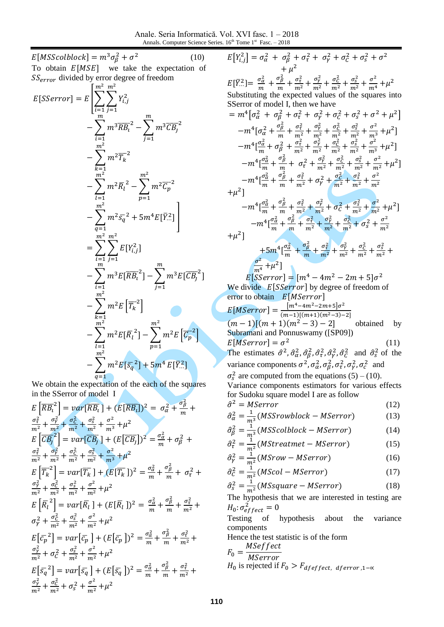Anale. Seria Informatică. Vol. XVI fasc. 1 – 2018 Annals. Computer Science Series.  $16<sup>th</sup>$  Tome  $1<sup>st</sup>$  Fasc.  $-2018$ 

 $E[MSScolblock] = m^3 \sigma_0^2 + \sigma^2$  (10) To obtain  $E[MSE]$  we take the expectation of  $SS_{error}$  divided by error degree of freedom

$$
E[SSerror] = E\left[\sum_{i=1}^{m^2} \sum_{j=1}^{m^2} Y_{i,j}^2 - \sum_{j=1}^{m} m^3 \overline{CB_j}^2 - \sum_{i=1}^{m^2} m^3 \overline{CB_j}^2 - \sum_{k=1}^{m^2} m^2 \overline{T_k}^2 - \sum_{k=1}^{m^2} m^2 \overline{R_l}^2 - \sum_{p=1}^{m^2} m^2 \overline{R_l}^2 - \sum_{p=1}^{m^2} m^2 \overline{C_p}^2 - \sum_{i=1}^{m^2} m^2 \overline{S_q}^2 + 5m^4 E[\overline{Y}_{i}^2] - \sum_{i=1}^{m^2} \sum_{j=1}^{m^2} E[Y_{i,j}^2] - \sum_{i=1}^{m} m^3 E[\overline{CB_i}^2] - \sum_{i=1}^{m^2} m^2 E[\overline{R_i}^2] - \sum_{i=1}^{m^2} m^2 E[\overline{R_i}^2] - \sum_{p=1}^{m^2} m^2 E[\overline{C_p}^2] - \sum_{q=1}^{m^2} m^2 E[\overline{S_q}^2] + 5m^4 E[\overline{Y}_{i}^2]
$$

We obtain the expectation of the each of the squares in the SSerror of model I

 $E\left[\overline{RB_{i}}^{2}\right] = var[\overline{RB_{i}}] + (E[\overline{RB_{i}}])^{2} = \sigma_{\alpha}^{2} + \frac{\sigma_{\beta}^{2}}{m}$  $\frac{p}{m}$  +  $\sigma_{\tau}^2$  $\boldsymbol{m}$  $\sigma_{\nu}^2$  $\boldsymbol{m}$  $\sigma_C^2$  $\overline{m}$  $\sigma_S^2$  $\boldsymbol{m}$  $\sigma^2$  $\boldsymbol{m}$  $\overline{\mathbf{c}}$  $E\left[\overline{CB_i}^2\right] = var[\overline{CB_i}] + (E[\overline{CB_i}])^2 = \frac{\sigma_{\alpha}^2}{m}$  $\frac{\sigma_{\alpha}^{2}}{m}+\sigma_{\beta}^{2}$  $\sigma_{\tau}^2$  $\boldsymbol{m}$  $\sigma_{\nu}^2$  $\boldsymbol{m}$  $\sigma_C^2$  $\boldsymbol{m}$  $\sigma_S^2$  $\boldsymbol{m}$  $\sigma^2$  $\boldsymbol{m}$  $\overline{\mathbf{c}}$  $E\left[\overline{T_k}^2\right] = var[\overline{T_k}] + (E[\overline{T_k}])^2 = \frac{\sigma_{\alpha}^2}{m}$  $\frac{\sigma_{\alpha}^2}{m} + \frac{\sigma_{\beta}^2}{m}$  $\frac{\sigma_\beta}{m}$  +  $\sigma_\tau^2$  $\sigma_{\rm V}^2$ m  $\sigma_C^2$  $\boldsymbol{m}$  $\sigma_S^2$ m  $\sigma^2$  $\boldsymbol{m}$  $\overline{\mathbf{c}}$  $E\left[\overline{R}_{l}^{2}\right] = var\left[\overline{R}_{l}\right] + \left(E\left[\overline{R}_{l}\right]\right)^{2} = \frac{\sigma_{\alpha}^{2}}{m}$  $\frac{\sigma_{\alpha}^2}{m} + \frac{\sigma_{\beta}^2}{m}$  $\frac{\sigma_{\beta}^2}{m} + \frac{\sigma_{\tau}^2}{m^2}$  $\boldsymbol{m}$  $\sigma_{\nu}^2 + \frac{\sigma_{\rm C}^2}{m^2}$  $\boldsymbol{m}$  $\sigma_S^2$ m  $\sigma^2$  $\boldsymbol{m}$  $\overline{\mathbf{c}}$  $E[\bar{c}_p^2] = var[\bar{c}_p] + (E[\bar{c}_p])^2 = \frac{\sigma_G^2}{m}$  $\frac{\sigma_{\alpha}^2}{m} + \frac{\sigma_{\beta}^2}{m}$  $\frac{\sigma_{\beta}^2}{m} + \frac{\sigma_{\tau}^2}{m^2}$  $\boldsymbol{m}$  $\sigma_{\rm V}^2$  $\boldsymbol{m}$  $rac{2}{1} + \frac{\sigma_s^2}{1}$  $\boldsymbol{m}$  $\sigma^2$  $\boldsymbol{m}$  $\overline{\mathbf{c}}$  $E\left[\bar{s}_a^2\right] = var\left[\bar{s}_a\right] + (E\left[\bar{s}_a\right])^2 = \frac{\sigma_a^2}{m}$  $\frac{\sigma_{\alpha}^2}{m} + \frac{\sigma_{\beta}^2}{m}$  $\frac{\sigma_{\beta}^2}{m} + \frac{\sigma_{\tau}^2}{m^2}$  $\boldsymbol{m}$  $\sigma_{\nu}^2$ m  $\sigma_C^2$  $\boldsymbol{m}$  $2+\frac{\sigma^2}{2}$  $\boldsymbol{m}$  $\overline{\mathbf{c}}$ 

$$
E[Y_{i,j}^2] = \sigma_{\alpha}^2 + \sigma_{\beta}^2 + \sigma_{\tau}^2 + \sigma_{\gamma}^2 + \sigma_{C}^2 + \sigma_{s}^2 + \sigma^2 + \mu^2
$$

 $E[\bar{Y}_{...}^2] = \frac{\sigma_{\alpha}^2}{m}$  $rac{\sigma_{\alpha}^2}{m} + \frac{\sigma_{\beta}^2}{m}$  $\frac{\sigma_{\beta}^{2}}{m}+\frac{\sigma_{\tau}^{2}}{m^{2}}$  $\boldsymbol{m}$  $\sigma_{\gamma}^2$  $\boldsymbol{m}$  $\sigma_{\mathcal{C}}^2$  $\boldsymbol{m}$  $\sigma_S^2$  $\boldsymbol{m}$  $\sigma^2$  $\boldsymbol{m}$  $\overline{\mathbf{c}}$ Substituting the expected values of the squares into SSerror of model I, then we have

$$
= m^{4} \left[ \sigma_{\alpha}^{2} + \sigma_{\beta}^{2} + \sigma_{\tau}^{2} + \sigma_{\gamma}^{2} + \sigma_{\zeta}^{2} + \sigma_{\zeta}^{2} + \sigma^{2} + \mu^{2} \right]
$$
\n
$$
-m^{4} \left[ \sigma_{\alpha}^{2} + \frac{\sigma_{\beta}^{2}}{m} + \frac{\sigma_{\tau}^{2}}{m^{2}} + \frac{\sigma_{\zeta}^{2}}{m^{2}} + \frac{\sigma_{\zeta}^{2}}{m^{2}} + \frac{\sigma_{\zeta}^{2}}{m^{2}} + \frac{\sigma_{\zeta}^{2}}{m^{2}} + \frac{\sigma_{\zeta}^{2}}{m^{2}} + \frac{\sigma_{\zeta}^{2}}{m^{2}} + \sigma_{\zeta}^{2}}{m^{2}} + \mu^{2} \right]
$$
\n
$$
-m^{4} \left[ \frac{\sigma_{\alpha}^{2}}{m} + \sigma_{\beta}^{2} + \frac{\sigma_{\zeta}^{2}}{m^{2}} + \frac{\sigma_{\zeta}^{2}}{m^{2}} + \frac{\sigma_{\zeta}^{2}}{m^{2}} + \frac{\sigma_{\zeta}^{2}}{m^{2}} + \frac{\sigma_{\zeta}^{2}}{m^{2}} + \frac{\sigma_{\zeta}^{2}}{m^{2}} + \mu^{2} \right]
$$
\n
$$
-m^{4} \left[ \frac{\sigma_{\alpha}^{2}}{m} + \frac{\sigma_{\beta}^{2}}{m} + \frac{\sigma_{\zeta}^{2}}{m^{2}} + \sigma_{\zeta}^{2} + \frac{\sigma_{\zeta}^{2}}{m^{2}} + \frac{\sigma_{\zeta}^{2}}{m^{2}} + \frac{\sigma_{\zeta}^{2}}{m^{2}} + \frac{\sigma_{\zeta}^{2}}{m^{2}} + \frac{\sigma_{\zeta}^{2}}{m^{2}} + \mu^{2} \right]
$$
\n
$$
-m^{4} \left[ \frac{\sigma_{\alpha}^{2}}{m} + \frac{\sigma_{\beta}^{2}}{m} + \frac{\sigma_{\zeta}^{2}}{m^{2}} + \frac{\sigma_{\zeta}^{2}}{m^{2}} + \sigma_{\zeta}^{2} + \frac{\sigma_{\zeta}^{2}}{m^{2}} + \frac{\sigma_{\zeta}^{2}}{m^{2}} + \mu^{2} \right]
$$
\n
$$
-m^{4}
$$

 $\boldsymbol{m}$  $E[SSerror] = [m^4 - 4m^2 - 2m + 5]\sigma^2$ We divide  $E[SSerror]$  by degree of freedom of error to obtain E[MSerror]

 $^{2}$ ]

$$
E[MSerror] = \frac{[m^4 - 4m^2 - 2m + 5]\sigma^2}{(m-1)[(m+1)(m^2-3)-2]}
$$
  
( $m-1$ )[( $m + 1$ )( $m^2 - 3$ ) - 2] obtained by  
Subramani and Ponnuswamy ([SP09])  
 $E[MSerror] = \sigma^2$  (11)  
The estimates  $\hat{\sigma}^2$ ,  $\hat{\sigma}_{\alpha}^2$ ,  $\hat{\sigma}_{\beta}^2$ ,  $\hat{\sigma}_{\gamma}^2$ ,  $\hat{\sigma}_{\gamma}^2$ ,  $\hat{\sigma}_{\zeta}^2$  and  $\hat{\sigma}_{\zeta}^2$  of the

variance components  $\sigma^2$ ,  $\sigma_{\alpha}^2$ ,  $\sigma_{\beta}^2$ ,  $\sigma_{\tau}^2$ ,  $\sigma_{\gamma}^2$ ,  $\sigma_{c}^2$  and

 $\sigma_s^2$  are computed from the equations (5) – (10). Variance components estimators for various effects for Sudoku square model I are as follow

$$
\hat{\sigma}^2 = MServer
$$
 (12)

$$
\hat{\sigma}_{\alpha}^{2} = \frac{1}{m^{3}} (MSSrowblock - MServer) \tag{13}
$$
\n
$$
\hat{\sigma}_{\alpha}^{2} = \frac{1}{m^{3}} (MSSoshled \text{ and } MServer) \tag{14}
$$

$$
\hat{\sigma}_{\beta}^{2} = \frac{1}{m^{3}} (MSScolblock - MServer) \tag{14}
$$
\n
$$
\hat{\sigma}_{\beta}^{2} = \frac{1}{m^{3}} (MStrategy \times MServer) \tag{15}
$$

$$
\hat{\sigma}_{\tau}^2 = \frac{1}{m^2} (MStreamet - MSerror)
$$
 (15)

$$
\hat{\sigma}_Y^2 = \frac{1}{m^2} (MSrow - MSerror)
$$
 (16)

$$
\hat{\sigma}_C^2 = \frac{1}{m^2} (MScol - MSerror)
$$
 (17)

$$
\hat{\sigma}_s^2 = \frac{1}{m^2} (MSsquare - MSerror)
$$
 (18)  
The hypothesis that we are interested in testing are

 $H_0$ :  $\sigma_e^2$ 

Testing of hypothesis about the variance components

Hence the test statistic is of the form **MSeffect** 

$$
F_0 = \frac{MSET \, \text{C}}{MServer}
$$
\n
$$
H_0 \text{ is rejected if } F_0 > F_{deffect, \, \text{d}ferror, 1-\infty}
$$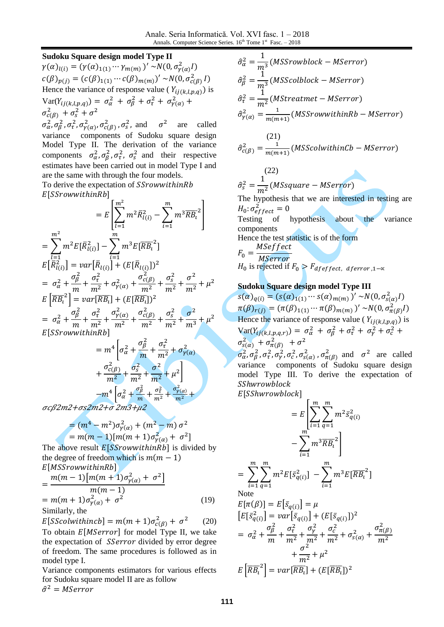#### **Sudoku Square design model Type II**

 $\gamma(\alpha)_{l(i)} = (\gamma(\alpha)_{1(1)} \cdots \gamma_{m(m)})' \sim N(0, \sigma_{\gamma(\alpha)}^2 I)$  $c(\beta)_{p(j)} = (c(\beta)_{1(1)} \cdots c(\beta)_{m(m)})' \sim N(0, \sigma_{c(\beta)}^2 I)$ Hence the variance of response value ( $Y_{ij(k,l,p,q)}$ ) is  $Var(Y_{ij(k,l,p,q)}) = \sigma_{\alpha}^2 + \sigma_{\beta}^2 + \sigma_{\tau}^2 + \sigma_{\gamma}^2$  $\sigma_{c(B)}^2 + \sigma_s^2 + \sigma^2$ 

 $\sigma_{\alpha}^2$ ,  $\sigma_{\beta}^2$ ,  $\sigma_{\gamma(\alpha)}^2$ ,  $\sigma_{c(\beta)}^2$ ,  $\sigma_{s}^2$ , and  $\sigma^2$  are called variance components of Sudoku square design Model Type II. The derivation of the variance components  $\sigma_{\alpha}^2$ ,  $\sigma_{\beta}^2$ ,  $\sigma_{\tau}^2$ ,  $\sigma_{s}^2$  and their respective estimates have been carried out in model Type I and are the same with through the four models.

To derive the expectation of SSrowwithinRb  $E[SS row within Rb]$ 

$$
= E\left[\sum_{l=1}^{m^2} m^2 \bar{R}_{l(i)}^2 - \sum_{i=1}^{m} m^3 \overline{R} \bar{B}_i^2\right]
$$
  
\n
$$
= \sum_{l=1}^{m^2} m^2 E[\bar{R}_{l(i)}^2] - \sum_{i=1}^{m} m^3 E[\overline{R} \bar{B}_i^2]
$$
  
\n
$$
E[\bar{R}_{l(i)}^2] = var[\bar{R}_{l(i)}] + (E[\bar{R}_{l(i)}])^2
$$
  
\n
$$
= \sigma_{\alpha}^2 + \frac{\sigma_{\beta}^2}{m} + \frac{\sigma_{\tau}^2}{m^2} + \sigma_{\gamma(\alpha)}^2 + \frac{\sigma_{c(\beta)}^2}{m^2} + \frac{\sigma_{s}^2}{m^2} + \frac{\sigma^2}{m^2} + \mu^2
$$
  
\n
$$
E[\overline{R} \bar{B}_i^2] = var[\overline{R} \bar{B}_i] + (E[\overline{R} \bar{B}_i])^2
$$
  
\n
$$
= \sigma_{\alpha}^2 + \frac{\sigma_{\beta}^2}{m} + \frac{\sigma_{\tau}^2}{m^2} + \frac{\sigma_{\gamma(\alpha)}^2}{m^2} + \frac{\sigma_{c(\beta)}^2}{m^2} + \frac{\sigma_{s}^2}{m^2} + \frac{\sigma^2}{m^3} + \mu^2
$$
  
\n
$$
E[SSrowwithinRb]
$$
  
\n
$$
\sigma_{\beta}^2 - \sigma_{\alpha}^2
$$

$$
= m^{4} \left[ \sigma_{\alpha}^{2} + \frac{\sigma_{\beta}^{2}}{m} + \frac{\sigma_{\tau}^{2}}{m^{2}} + \sigma_{\gamma(\alpha)}^{2} + \frac{\sigma_{c(\beta)}^{2}}{m^{2}} + \frac{\sigma_{s}^{2}}{m^{2}} + \frac{\sigma^{2}}{m^{2}} + \mu^{2} \right]
$$

$$
- m^{4} \left[ \sigma_{\alpha}^{2} + \frac{\sigma_{\beta}^{2}}{m} + \frac{\sigma_{\tau}^{2}}{m^{2}} + \frac{\sigma_{\gamma(\alpha)}^{2}}{m^{2}} + \frac{\sigma_{\gamma(\alpha)}^{2}}{m^{2}} + \frac{\sigma_{\gamma(\alpha)}^{2}}{m^{2}} + \frac{\sigma_{\gamma(\alpha)}^{2}}{m^{2}} + \frac{\sigma_{\gamma(\alpha)}^{2}}{m^{2}} + \frac{\sigma_{\gamma(\alpha)}^{2}}{m^{2}} + \frac{\sigma_{\gamma(\alpha)}^{2}}{m^{2}} + \frac{\sigma_{\gamma(\alpha)}^{2}}{m^{2}} + \frac{\sigma_{\gamma(\alpha)}^{2}}{m^{2}} + \frac{\sigma_{\gamma(\alpha)}^{2}}{m^{2}} + \frac{\sigma_{\gamma(\alpha)}^{2}}{m^{2}} + \frac{\sigma_{\gamma(\alpha)}^{2}}{m^{2}} + \frac{\sigma_{\gamma(\alpha)}^{2}}{m^{2}} + \frac{\sigma_{\gamma(\alpha)}^{2}}{m^{2}} + \frac{\sigma_{\gamma(\alpha)}^{2}}{m^{2}} + \frac{\sigma_{\gamma(\alpha)}^{2}}{m^{2}} + \frac{\sigma_{\gamma(\alpha)}^{2}}{m^{2}} + \frac{\sigma_{\gamma(\alpha)}^{2}}{m^{2}} + \frac{\sigma_{\gamma(\alpha)}^{2}}{m^{2}} + \frac{\sigma_{\gamma(\alpha)}^{2}}{m^{2}} + \frac{\sigma_{\gamma(\alpha)}^{2}}{m^{2}} + \frac{\sigma_{\gamma(\alpha)}^{2}}{m^{2}} + \frac{\sigma_{\gamma(\alpha)}^{2}}{m^{2}} + \frac{\sigma_{\gamma(\alpha)}^{2}}{m^{2}} + \frac{\sigma_{\gamma(\alpha)}^{2}}{m^{2}} + \frac{\sigma_{\gamma(\alpha)}^{2}}{m^{2}} + \frac{\sigma_{\gamma(\alpha)}^{2}}{m^{2}} + \frac{\sigma_{\gamma(\alpha)}^{2}}{m^{2}} + \frac{\sigma_{\gamma(\alpha)}^{2}}{m^{2}} + \frac{\sigma_{\gamma(\alpha)}^{2}}{m^{2}} + \frac{\sigma_{\gamma(\alpha)}^{2}}{m
$$

σcβ2m2+σs2m2+σ 2m3+μ2

$$
= (m4 - m2)\sigma_{\gamma(\alpha)}^{2} + (m2 - m)\sigma^{2}
$$
  
= m(m - 1)[m(m + 1)\sigma\_{\gamma(\alpha)}^{2} + \sigma^{2}]

The above result  $E[SSrowwithin Rb]$  is divided by the degree of freedom which is  $m(m - 1)$  $F[MS$ *s*crowwithin  $Rh$ <sup>]</sup>

$$
E[M55T0WW11171R1]
$$
  
= 
$$
\frac{m(m-1)[m(m+1)\sigma_{\gamma(\alpha)}^2 + \sigma^2]}{m(m-1)}
$$
  
= 
$$
m(m+1)\sigma_{\gamma(\alpha)}^2 + \sigma^2
$$
 (19)

Similarly, the

 $E[SScolwithinch] = m(m+1)\sigma_{c(B)}^2 + \sigma^2$  (20) To obtain  $E[MSerror]$  for model Type II, we take the expectation of *SSerror* divided by error degree of freedom. The same procedures is followed as in model type I.

Variance components estimators for various effects for Sudoku square model II are as follow  $\hat{\sigma}^2$ 

$$
\hat{\sigma}_{\alpha}^{2} = \frac{1}{m^{3}} (MSSrowblock - MSerror)
$$
  
\n
$$
\hat{\sigma}_{\beta}^{2} = \frac{1}{m^{3}} (MSScolblock - MSerror)
$$
  
\n
$$
\hat{\sigma}_{\tau}^{2} = \frac{1}{m^{2}} (MStreatment - MSerror)
$$
  
\n
$$
\hat{\sigma}_{\gamma(\alpha)}^{2} = \frac{1}{m(m+1)} (MSSrowwithinRb - MSerror)
$$
  
\n(21)

$$
\hat{\sigma}_{c(\beta)}^2 = \frac{1}{m(m+1)}(MSScolwithinCb - MSerror)
$$

$$
\hat{\sigma}_s^2 = \frac{1}{m^2} (MSsquare - MSerror)
$$

The hypothesis that we are interested in testing are  $H_0$ :  $\sigma_e^2$ 

Testing of hypothesis about the variance components

Hence the test statistic is of the form  $\sqrt{F}$ M

M  $H_0$  is rejected if

## **Sudoku Square design model Type III**

 $s(\alpha)_{q(i)} = (s(\alpha)_{1(1)} \cdots s(\alpha)_{m(m)})' \sim N(0, \sigma_{s(\alpha)}^2 I)$  $\pi(\beta)_{r(j)} = (\pi(\beta)_{1(1)} \cdots \pi(\beta)_{m(m)})' \sim N(0, \sigma_{\pi(\beta)}^2)$ Hence the variance of response value ( $Y_{ij(k,l,p,q)}$ ) is  $Var(Y_{ij(k,l,p,q,r)}) = \sigma_{\alpha}^2 + \sigma_{\beta}^2 + \sigma_{\tau}^2 + \sigma_{\gamma}^2 + \sigma_{\alpha}^2$  $\sigma_{s(\alpha)}^2 + \sigma_{\pi(\beta)}^2 + \sigma^2$  $\sigma_{\alpha}^2$ ,  $\sigma_{\beta}^2$ ,  $\sigma_{\tau}^2$ ,  $\sigma_{\gamma}^2$ ,  $\sigma_{\gamma(\alpha)}^2$ ,  $\sigma_{\pi(\beta)}^2$  and  $\sigma^2$  are called variance components of Sudoku square design model Type III. To derive the expectation of SShwrowblock

 $E[SShwrowblock]$ 

$$
= E\left[\sum_{i=1}^{m} \sum_{q=1}^{m} m^{2} \bar{s}_{q(i)}^{2}\right]
$$
  
\n
$$
- \sum_{i=1}^{m} m^{3} \overline{RB}_{i}^{2}\right]
$$
  
\n
$$
= \sum_{i=1}^{m} \sum_{q=1}^{m} m^{2} E[\bar{s}_{q(i)}^{2}] - \sum_{i=1}^{m} m^{3} E[\overline{RB}_{i}^{2}]
$$
  
\nNote  
\n
$$
E[\pi(\beta)] = E[\bar{s}_{q(i)}] = \mu
$$
  
\n
$$
[E[\bar{s}_{q(i)}^{2}] = var[\bar{s}_{q(i)}] + (E[\bar{s}_{q(i)}])^{2}
$$
  
\n
$$
= \sigma_{\alpha}^{2} + \frac{\sigma_{\beta}^{2}}{m} + \frac{\sigma_{\tau}^{2}}{m^{2}} + \frac{\sigma_{\tau}^{2}}{m^{2}} + \frac{\sigma_{c}^{2}}{m^{2}} + \sigma_{s(\alpha)}^{2} + \frac{\sigma_{\pi(\beta)}^{2}}{m^{2}}
$$
  
\n
$$
+ \frac{\sigma^{2}}{m^{2}} + \mu^{2}
$$

 $E\left[\overline{R} \overline{B_{i}}^{2}\right] = var[\overline{R} \overline{B_{i}}] + (E[\overline{R} \overline{B_{i}}])^{2}$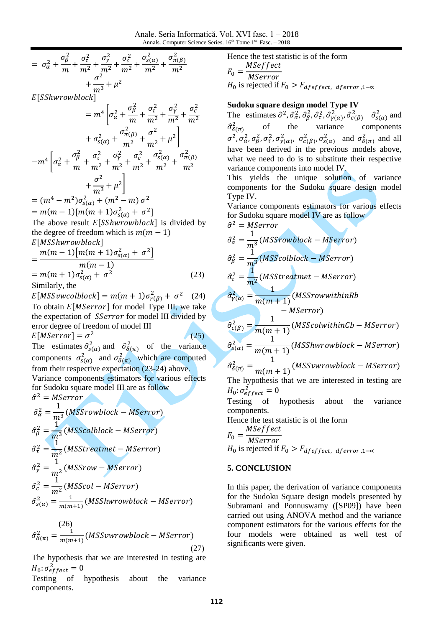Anale. Seria Informatică. Vol. XVI fasc. 1 – 2018 Annals. Computer Science Series.  $16<sup>th</sup>$  Tome  $1<sup>st</sup>$  Fasc.  $-2018$ 

$$
= \sigma_{\alpha}^{2} + \frac{\sigma_{\beta}^{2}}{m} + \frac{\sigma_{\tau}^{2}}{m^{2}} + \frac{\sigma_{\gamma}^{2}}{m^{2}} + \frac{\sigma_{c}^{2}}{m^{2}} + \frac{\sigma_{s(\alpha)}^{2}}{m^{2}} + \frac{\sigma_{m(\beta)}^{2}}{m^{3}} + \mu^{2}
$$

 $E[SSh$ wrowblock]

$$
= m^{4} \left[ \sigma_{\alpha}^{2} + \frac{\sigma_{\beta}^{2}}{m} + \frac{\sigma_{\tau}^{2}}{m^{2}} + \frac{\sigma_{\gamma}^{2}}{m^{2}} + \frac{\sigma_{c}^{2}}{m^{2}} + \frac{\sigma_{c}^{2}}{m^{2}} + \sigma_{s(\alpha)}^{2} + \sigma_{s(\alpha)}^{2} + \frac{\sigma_{\pi(\beta)}^{2}}{m^{2}} + \frac{\sigma_{\alpha}^{2}}{m^{2}} + \frac{\sigma_{\alpha}^{2}}{m^{2}} + \frac{\sigma_{\alpha}^{2}}{m^{2}} + \frac{\sigma_{s(\alpha)}^{2}}{m^{2}} + \frac{\sigma_{\pi(\beta)}^{2}}{m^{2}} + \frac{\sigma_{\alpha}^{2}}{m^{3}} + \mu^{2} \right]
$$
  
\n
$$
= (m^{4} - m^{2})\sigma_{s(\alpha)}^{2} + (m^{2} - m)\sigma^{2}
$$
  
\n
$$
= m(m - 1)[m(m + 1)\sigma_{s(\alpha)}^{2} + \sigma^{2}]
$$
  
\nThe above result *E*[*SShwrowblock*]; is divided by the degree of freedom which is *m*(*m* – 1)  
\n*E*[*MShwrowblock*]

$$
= \frac{m(m-1)[m(m+1)\sigma_{s(\alpha)}^2 + \sigma^2]}{m(m-1)}
$$
  
= m(m+1)\sigma\_{s(\alpha)}^2 + \sigma^2 (23)

Similarly, the

 $(26)$ 

 $E[MSSvwcolblock] = m(m+1)\sigma_{r(B)}^2 + \sigma^2$  (24) To obtain  $E[MSerror]$  for model Type III, we take the expectation of *SSerror* for model III divided by error degree of freedom of model III  $E[MSerror] = \sigma^2$  $(25)$ 

The estimates  $\hat{\sigma}_{s(\alpha)}^2$  and  $\hat{\sigma}_{\delta(\pi)}^2$  of the variance components  $\sigma_{s(\alpha)}^2$  and  $\sigma_{\delta(\pi)}^2$  which are computed from their respective expectation (23-24) above. Variance components estimators for various effects for Sudoku square model III are as follow  $\hat{\sigma}^2$ 

$$
\hat{\sigma}_{\alpha}^{2} = \frac{1}{m^{3}} (MSSrowblock - MServer)
$$
  
\n
$$
\hat{\sigma}_{\beta}^{2} = \frac{1}{m^{3}} (MSScolblock - MServer)
$$
  
\n
$$
\hat{\sigma}_{\tau}^{2} = \frac{1}{m^{2}} (MSStreatment - MServer)
$$
  
\n
$$
\hat{\sigma}_{\gamma}^{2} = \frac{1}{m^{2}} (MSSrow - MServer)
$$
  
\n
$$
\hat{\sigma}_{c}^{2} = \frac{1}{m^{2}} (MSScol - MServer)
$$
  
\n
$$
\hat{\sigma}_{s(\alpha)}^{2} = \frac{1}{m(m+1)} (MSShwrowblock - MServer)
$$

$$
\hat{\sigma}_{\delta(\pi)}^2 = \frac{1}{m(m+1)}(MSSvwrowblock - MSerror)
$$
\n(27)

The hypothesis that we are interested in testing are  $H_0$ :  $\sigma_e^2$ 

Testing of hypothesis about the variance components.

Hence the test statistic is of the form  $\overline{F}$ M  $\boldsymbol{M}$  $H_0$  is rejected if  $F_0 > F_{deffect}$ , aferror, 1- $\alpha$ 

### **Sudoku square design model Type IV**

The estimates  $\hat{\sigma}^2$ ,  $\hat{\sigma}_{\alpha}^2$ ,  $\hat{\sigma}_{\beta}^2$ ,  $\hat{\sigma}_{\tau}^2$ ,  $\hat{\sigma}_{\gamma(\alpha)}^2$ ,  $\hat{\sigma}_{c(\beta)}^2$   $\hat{\sigma}_{s(\alpha)}^2$  and  $\hat{\sigma}^2_{\delta(\pi)}$  $\frac{2}{\delta(\pi)}$  of the variance components  $\sigma^2$ ,  $\sigma_\alpha^2$ ,  $\sigma_\beta^2$ ,  $\sigma_\tau^2$ ,  $\sigma_{\nu(\alpha)}^2$ ,  $\sigma_{c(\beta)}^2$ ,  $\sigma_{s(\alpha)}^2$  and  $\sigma_{\delta(\pi)}^2$  and all have been derived in the previous models above, what we need to do is to substitute their respective variance components into model IV.

This yields the unique solution of variance components for the Sudoku square design model Type IV.

Variance components estimators for various effects for Sudoku square model IV are as follow

$$
\hat{\sigma}^2 = MServer
$$
  
\n
$$
\hat{\sigma}_{\alpha}^2 = \frac{1}{m^3} (MSSrowblock - MServer)
$$
  
\n
$$
\hat{\sigma}_{\beta}^2 = \frac{1}{m^3} (MSScolblock - MServer)
$$
  
\n
$$
\hat{\sigma}_{\tau}^2 = \frac{1}{m^2} (MSStreatment - MServer)
$$
  
\n
$$
\hat{\sigma}_{\gamma(\alpha)}^2 = \frac{1}{m(m+1)} (MSSrowwithinRb - MServer)
$$
  
\n
$$
\hat{\sigma}_{c(\beta)}^2 = \frac{1}{m(m+1)} (MSScolwithinCb - MServer)
$$
  
\n
$$
\hat{\sigma}_{c(\alpha)}^2 = \frac{1}{m(m+1)} (MSShuvw不block - MServer)
$$
  
\n
$$
\hat{\sigma}_{\delta(\pi)}^2 = \frac{1}{m(m+1)} (MSSvuvw不abcck - MServer)
$$
  
\nThe hypothesis that we are interested in testing are  
\n
$$
H_0: \sigma_{effect}^2 = 0
$$
  
\nTesting of hypothesis about the variance components.  
\nHence the test statistic is of the form

 $F_{\scriptscriptstyle\parallel}$ M M

 $H_0$  is rejected if

### **5. CONCLUSION**

In this paper, the derivation of variance components for the Sudoku Square design models presented by Subramani and Ponnuswamy ([SP09]) have been carried out using ANOVA method and the variance component estimators for the various effects for the four models were obtained as well test of significants were given.